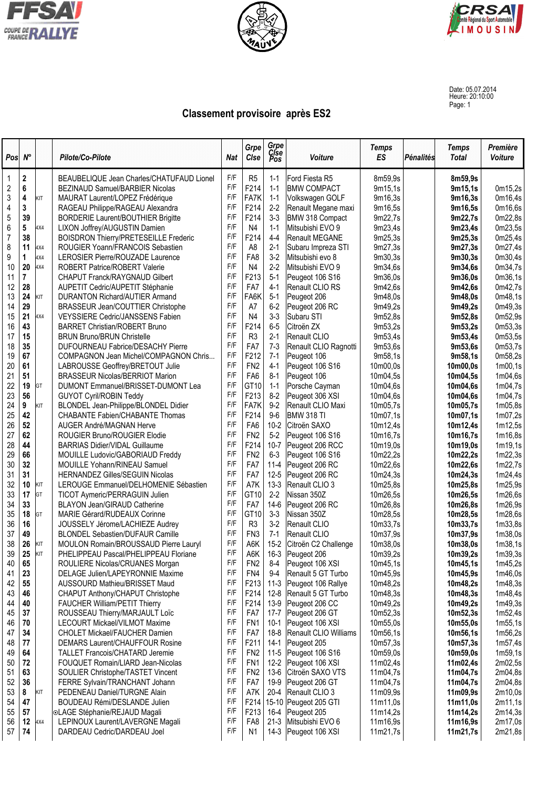





Date: 05.07.2014 Heure: 20:10:00 Page: 1

## **Classement provisoire après ES2**

| Pos        | $N^{\circ}$              |            | Pilote/Co-Pilote                             | <b>Nat</b> | Grpe<br>Clse      | Grpe<br>Cise<br>Pos | <b>Voiture</b>               | <b>Temps</b><br>ES | Pénalités | <b>Temps</b><br><b>Total</b> | Première<br><b>Voiture</b> |
|------------|--------------------------|------------|----------------------------------------------|------------|-------------------|---------------------|------------------------------|--------------------|-----------|------------------------------|----------------------------|
| -1         | 2                        |            | BEAUBELIQUE Jean Charles/CHATUFAUD Lionel    | F/F        | R <sub>5</sub>    | $1 - 1$             | Ford Fiesta R5               | 8m59.9s            |           | 8m59,9s                      |                            |
| $\sqrt{2}$ | $6\phantom{a}$           |            | BEZINAUD Samuel/BARBIER Nicolas              | F/F        | F214              | $1 - 1$             | <b>BMW COMPACT</b>           | 9m15,1s            |           | 9m15,1s                      | 0m15,2s                    |
| $\sqrt{3}$ | 4                        | KIT        | MAURAT Laurent/LOPEZ Frédérique              | F/F        | FA7K              | $1 - 1$             | Volkswagen GOLF              | 9m16,3s            |           | 9m16,3s                      | 0m16,4s                    |
| 4          | 3                        |            | RAGEAU Philippe/RAGEAU Alexandra             | F/F        | F214              | $2-2$               | Renault Megane maxi          | 9m16,5s            |           | 9m16,5s                      | 0m16,6s                    |
| 5          | 39                       |            | <b>BORDERIE Laurent/BOUTHIER Brigitte</b>    | F/F        | F214              | $3-3$               | BMW 318 Compact              | 9m22,7s            |           | 9m22,7s                      | 0m22,8s                    |
| 6          | 5                        | 4X4        | LIXON Joffrey/AUGUSTIN Damien                | F/F        | N4                | $1 - 1$             | Mitsubishi EVO 9             | 9m23,4s            |           | 9m23,4s                      | 0m23,5s                    |
| 7          | 38                       |            | <b>BOISDRON Thierry/PRETESEILLE Frederic</b> | F/F        | F214              | $4 - 4$             | Renault MEGANE               | 9m25,3s            |           | 9m25,3s                      | 0m25,4s                    |
| 8          | 11                       | 4X4        | ROUGIER Yoann/FRANCOIS Sebastien             | F/F        | A8                | $2 - 1$             | Subaru Impreza STI           | 9m27,3s            |           | 9m27,3s                      | 0m27,4s                    |
| 9          | 1                        | 4X4        | LEROSIER Pierre/ROUZADE Laurence             | F/F        | FA8               | $3-2$               | Mitsubishi evo 8             | 9m30,3s            |           | 9m30,3s                      | 0m30,4s                    |
| 10         | 20                       | 4X4        | <b>ROBERT Patrice/ROBERT Valerie</b>         | F/F        | N4                | $2 - 2$             | Mitsubishi EVO 9             | 9m34,6s            |           | 9m34,6s                      | 0m34,7s                    |
| 11         | $\overline{\mathcal{I}}$ |            | <b>CHAPUT Franck/RAYGNAUD Gilbert</b>        | F/F        | F213              | $5-1$               | Peugeot 106 S16              | 9m36,0s            |           | 9m36,0s                      | 0m36,1s                    |
| 12         | 28                       |            | AUPETIT Cedric/AUPETIT Stéphanie             | F/F        | FA7               | $4 - 1$             | Renault CLIO RS              | 9m42,6s            |           | 9m42,6s                      | 0m42,7s                    |
| 13         | 24                       | KIT        | <b>DURANTON Richard/AUTIER Armand</b>        | F/F        | FA <sub>6</sub> K | $5-1$               | Peugeot 206                  | 9m48,0s            |           | 9m48,0s                      | 0m48,1s                    |
| 14         | 29                       |            | <b>BRASSEUR Jean/COUTTIER Christophe</b>     | F/F        | A7                | $6-2$               | Peugeot 206 RC               | 9m49,2s            |           | 9m49,2s                      | 0m49,3s                    |
| 15         | 21                       | 4X4        | VEYSSIERE Cedric/JANSSENS Fabien             | F/F        | N4                | $3 - 3$             | Subaru STI                   | 9m52,8s            |           | 9m52,8s                      | 0m52,9s                    |
| 16         | 43                       |            | <b>BARRET Christian/ROBERT Bruno</b>         | F/F        | F214              | $6-5$               | Citroën ZX                   | 9m53,2s            |           | 9m53,2s                      | 0m53,3s                    |
| 17         | 15                       |            | <b>BRUN Bruno/BRUN Christelle</b>            | F/F        | R <sub>3</sub>    | $2 - 1$             | Renault CLIO                 | 9m53,4s            |           | 9m53,4s                      | 0m53,5s                    |
| 18         | 35                       |            | <b>DUFOURNEAU Fabrice/DESACHY Pierre</b>     | F/F        | FA7               | $7-3$               | Renault CLIO Ragnotti        | 9m53,6s            |           | 9m53,6s                      | 0m53,7s                    |
| 19         | 67                       |            | COMPAGNON Jean Michel/COMPAGNON Chris        | F/F        | F212              | $7-1$               | Peugeot 106                  | 9m58,1s            |           | 9m58,1s                      | 0m58,2s                    |
| 20         | 61                       |            | LABROUSSE Geoffrey/BRETOUT Julie             | F/F        | FN <sub>2</sub>   | $4 - 1$             | Peugeot 106 S16              | 10m00,0s           |           | 10m00,0s                     | 1m00,1s                    |
| 21         | 51                       |            | <b>BRASSEUR Nicolas/BERRIOT Marion</b>       | F/F        | FA <sub>6</sub>   | $8-1$               | Peugeot 106                  | 10m04,5s           |           | 10m04,5s                     | 1m04,6s                    |
| 22         | 19                       | GT         | DUMONT Emmanuel/BRISSET-DUMONT Lea           | F/F        | GT <sub>10</sub>  | $1 - 1$             | Porsche Cayman               | 10m04,6s           |           | 10m04,6s                     | 1m04,7s                    |
| 23         | 56                       |            | <b>GUYOT Cyril/ROBIN Teddy</b>               | F/F        | F213              | $8-2$               | Peugeot 306 XSI              | 10m04,6s           |           | 10m04,6s                     | 1m04,7s                    |
| 24         | 9                        | KIT        | BLONDEL Jean-Philippe/BLONDEL Didier         | F/F        | FA7K              | $9-2$               | Renault CLIO Maxi            | 10m05,7s           |           | 10m05,7s                     | 1m05,8s                    |
| 25         | 42                       |            | CHABANTE Fabien/CHABANTE Thomas              | F/F        | F214              | $9-6$               | BMW 318 TI                   | 10m07,1s           |           | 10m07,1s                     | 1m07,2s                    |
| 26         | 52                       |            | AUGER André/MAGNAN Herve                     | F/F        | FA <sub>6</sub>   | $10 - 2$            | Citroën SAXO                 | 10m12,4s           |           | 10m12,4s                     | 1m12,5s                    |
| 27         | 62                       |            | ROUGIER Bruno/ROUGIER Elodie                 | F/F        | FN <sub>2</sub>   | $5-2$               | Peugeot 106 S16              | 10m16,7s           |           | 10m16,7s                     | 1m16,8s                    |
| 28         | 44                       |            | <b>BARRIAS Didier/VIDAL Guillaume</b>        | F/F        | F214              | $10 - 7$            | Peugeot 206 RCC              | 10m19,0s           |           | 10m19,0s                     | 1m19,1s                    |
| 29         | 66                       |            | MOUILLE Ludovic/GABORIAUD Freddy             | F/F        | FN <sub>2</sub>   | $6 - 3$             | Peugeot 106 S16              | 10m22,2s           |           | 10m22,2s                     | 1m22,3s                    |
| 30         | 32                       |            | <b>MOUILLE Yohann/RINEAU Samuel</b>          | F/F        | FA7               | $11 - 4$            | Peugeot 206 RC               | 10m22,6s           |           | 10m22,6s                     | 1m22,7s                    |
| 31         | 31                       |            | <b>HERNANDEZ Gilles/SEGUIN Nicolas</b>       | F/F        | FA7               | $12 - 5$            | Peugeot 206 RC               | 10m24,3s           |           | 10m24,3s                     | 1m24,4s                    |
| 32         | 10                       | KIT        | LEROUGE Emmanuel/DELHOMENIE Sébastien        | F/F        | A7K               | $13-3$              | Renault CLIO 3               | 10m25,8s           |           | 10m25,8s                     | 1m25,9s                    |
| 33         | 17                       | GT         | TICOT Aymeric/PERRAGUIN Julien               | F/F        | GT <sub>10</sub>  | $2-2$               | Nissan 350Z                  | 10m26,5s           |           | 10m26,5s                     | 1m26,6s                    |
| 34         | 33                       |            | <b>BLAYON Jean/GIRAUD Catherine</b>          | F/F        | FA7               | $14-6$              | Peugeot 206 RC               | 10m26,8s           |           | 10m26,8s                     | 1m26,9s                    |
| 35         | 18                       | GT         | MARIE Gérard/RUDEAUX Corinne                 | F/F        | GT <sub>10</sub>  | $3 - 3$             | Nissan 350Z                  | 10m28,5s           |           | 10m28,5s                     | 1m28,6s                    |
| 36         | 16                       |            | JOUSSELY Jérome/LACHIEZE Audrey              | F/F        | R <sub>3</sub>    | $3-2$               | Renault CLIO                 | 10m33,7s           |           | 10m33,7s                     | 1m33,8s                    |
| 37         | 49                       |            | BLONDEL Sebastien/DUFAUR Camille             | F/F        | FN <sub>3</sub>   | $7-1$               | Renault CLIO                 | 10m37,9s           |           | 10m37,9s                     | 1m38,0s                    |
| 38         | 26                       | KIT        | MOULON Romain/BROUSSAUD Pierre Lauryl        | F/F        | A6K               | $15-2$              | Citroën C2 Challenge         | 10m38,0s           |           | 10m38,0s                     | 1m38,1s                    |
| 39         | 25                       | <b>KIT</b> | PHELIPPEAU Pascal/PHELIPPEAU Floriane        | F/F        | A6K               |                     | 16-3 Peugeot 206             | 10m39,2s           |           | 10m39,2s                     | 1m39.3s                    |
| 40         | 65                       |            | ROULIERE Nicolas/CRUANES Morgan              | F/F        | FN <sub>2</sub>   | $8 - 4$             | Peugeot 106 XSI              | 10m45,1s           |           | 10m45,1s                     | 1m45,2s                    |
| 41         | 23                       |            | DELAGE Julien/LAPEYRONNIE Maxime             | F/F        | FN4               | $9-4$               | Renault 5 GT Turbo           | 10m45,9s           |           | 10m45,9s                     | 1m46,0s                    |
| 42         | 55                       |            | AUSSOURD Mathieu/BRISSET Maud                | F/F        | F213              | $11-3$              | Peugeot 106 Rallye           | 10m48,2s           |           | 10m48,2s                     | 1m48,3s                    |
| 43         | 46                       |            | CHAPUT Anthony/CHAPUT Christophe             | F/F        | F214              | 12-8                | Renault 5 GT Turbo           | 10m48,3s           |           | 10m48,3s                     | 1m48,4s                    |
| 44         | 40                       |            | FAUCHER William/PETIT Thierry                | F/F        | F214              | 13-9                | Peugeot 206 CC               | 10m49,2s           |           | 10m49,2s                     | 1m49,3s                    |
| 45         | 37                       |            | ROUSSEAU Thierry/MARJAULT Loïc               | F/F        | FA7               | $17 - 7$            | Peugeot 206 GT               | 10m52,3s           |           | 10m52,3s                     | 1m52,4s                    |
| 46         | 70                       |            | <b>LECOURT Mickael/VILMOT Maxime</b>         | F/F        | FN <sub>1</sub>   | $10-1$              | Peugeot 106 XSI              | 10m55,0s           |           | 10m55,0s                     | 1m55,1s                    |
| 47         | 34                       |            | <b>CHOLET Mickael/FAUCHER Damien</b>         | F/F        | FA7               | $18-8$              | <b>Renault CLIO Williams</b> | 10m56,1s           |           | 10m56,1s                     | 1m56,2s                    |
| 48         | 77                       |            | DEMARS Laurent/CHAUFFOUR Rosine              | F/F        | F211              | 14-1                | Peugeot 205                  | 10m57,3s           |           | 10m57,3s                     | 1m57,4s                    |
| 49         | 64                       |            | <b>TALLET Francois/CHATARD Jeremie</b>       | F/F        | FN <sub>2</sub>   | $11-5$              | Peugeot 106 S16              | 10m59,0s           |           | 10m59,0s                     | 1m59,1s                    |
| 50         | 72                       |            | FOUQUET Romain/LIARD Jean-Nicolas            | F/F        | FN <sub>1</sub>   | $12 - 2$            | Peugeot 106 XSI              | 11m02,4s           |           | 11m02,4s                     | 2m02,5s                    |
| 51         | 63                       |            | SOULIER Christophe/TASTET Vincent            | F/F        | FN <sub>2</sub>   | $13-6$              | Citroën SAXO VTS             | 11m04,7s           |           | 11m04,7s                     | 2m04,8s                    |
| 52         | 36                       |            | FERRE Sylvain/TRANCHANT Johann               | F/F        | FA7               | 19-9                | Peugeot 206 GT               | 11m04,7s           |           | 11m04,7s                     | 2m04,8s                    |
| 53         | 8                        | KIT        | PEDENEAU Daniel/TURGNE Alain                 | F/F        | A7K               | $20 - 4$            | Renault CLIO 3               | 11m09,9s           |           | 11m09,9s                     | 2m10,0s                    |
| 54         | 47                       |            | BOUDEAU Rémi/DESLANDE Julien                 | F/F        | F214              | $15 - 10$           | Peugeot 205 GTI              | 11m11,0s           |           | 11m11,0s                     | 2m11,1s                    |
| 55         | 57                       |            | ⊙LAGE Stéphanie/REJAUD Magali                | F/F        | F213              | 16-4                | Peugeot 205                  | 11m14,2s           |           | 11m14,2s                     | 2m14,3s                    |
| 56         | 12                       | 4X4        | LEPINOUX Laurent/LAVERGNE Magali             | F/F        | FA8               | $21 - 3$            | Mitsubishi EVO 6             | 11m16,9s           |           | 11m16,9s                     | 2m17,0s                    |
| 57         | 74                       |            | DARDEAU Cedric/DARDEAU Joel                  | F/F        | N <sub>1</sub>    | $14-3$              | Peugeot 106 XSI              | 11m21,7s           |           | 11m21,7s                     | 2m21,8s                    |